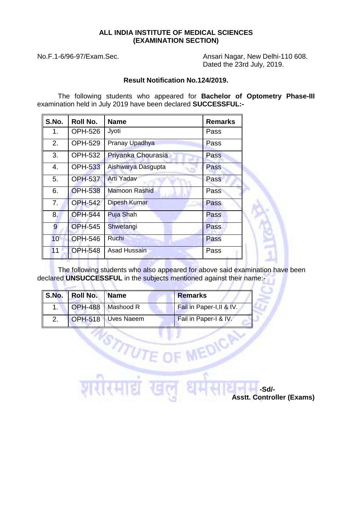## **ALL INDIA INSTITUTE OF MEDICAL SCIENCES (EXAMINATION SECTION)**

**Report Follows** 

 $\mathcal{S}_{\mathcal{D}}$ 

No.F.1-6/96-97/Exam.Sec. Ansari Nagar, New Delhi-110 608. Dated the 23rd July, 2019.

## **Result Notification No.124/2019.**

The following students who appeared for **Bachelor of Optometry Phase-III**  examination held in July 2019 have been declared **SUCCESSFUL:-**

| S.No. | Roll No.       | <b>Name</b>          | <b>Remarks</b> |
|-------|----------------|----------------------|----------------|
| 1.    | <b>OPH-526</b> | Jyoti                | Pass           |
| 2.    | <b>OPH-529</b> | Pranay Upadhya       | Pass           |
| 3.    | <b>OPH-532</b> | Priyanka Chourasia   | Pass           |
| 4.    | <b>OPH-533</b> | Aishwarya Dasgupta   | Pass           |
| 5.    | <b>OPH-537</b> | <b>Arti Yadav</b>    | Pass           |
| 6.    | <b>OPH-538</b> | <b>Mamoon Rashid</b> | Pass           |
| 7.    | <b>OPH-542</b> | Dipesh Kumar         | Pass           |
| 8.    | <b>OPH-544</b> | <b>Puja Shah</b>     | Pass           |
| 9     | <b>OPH-545</b> | Shwetangi            | Pass           |
| 10    | <b>OPH-546</b> | Ruchi                | Pass           |
| 11    | <b>OPH-548</b> | <b>Asad Hussain</b>  | Pass           |

The following students who also appeared for above said examination have been declared **UNSUCCESSFUL** in the subjects mentioned against their name:-

**FDIC** 

|                | S.No. Roll No. Name |                     | <b>Remarks</b>            |
|----------------|---------------------|---------------------|---------------------------|
| 1 <sup>1</sup> |                     | OPH-488   Mashood R | Fail in Paper-I, II & IV. |
| $\mathcal{P}$  |                     | OPH-518 Uves Naeem  | Fail in Paper-I & IV.     |

 **-Sd/- Asstt. Controller (Exams)**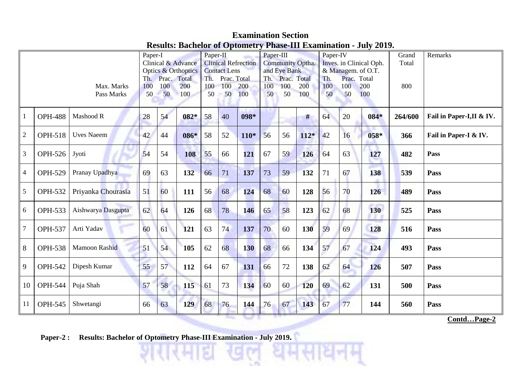## **Examination Section Results: Bachelor of Optometry Phase-III Examination - July 2019.**

| Max. Marks<br>Pass Marks |                |                    | Paper-I<br>Clinical & Advance<br>Optics & Orthoptics<br>Th. Prac. Total<br>200<br>100<br>100<br>50<br>50<br>$100 -$ |    |      | Paper-II<br><b>Clinical Refrection</b><br><b>Contact Lens</b><br>Th. Prac. Total<br>100<br>200<br>100<br>50<br>50<br>100 |    |            | Paper-III<br><b>Community Optha.</b><br>and Eye Bank<br>Th. Prac. Total<br>100<br>100<br>200<br>50<br>50<br>100 |    |            | Paper-IV<br>Inves. in Clinical Oph.<br>& Managem. of O.T.<br>Prac. Total<br>Th.<br>200<br>100<br>100<br>100<br>50<br>50 |    |            | Grand<br>Total<br>800 | Remarks                   |
|--------------------------|----------------|--------------------|---------------------------------------------------------------------------------------------------------------------|----|------|--------------------------------------------------------------------------------------------------------------------------|----|------------|-----------------------------------------------------------------------------------------------------------------|----|------------|-------------------------------------------------------------------------------------------------------------------------|----|------------|-----------------------|---------------------------|
|                          | <b>OPH-488</b> | Mashood R          | 28                                                                                                                  | 54 | 082* | 58                                                                                                                       | 40 | 098*       |                                                                                                                 |    | #          | 64                                                                                                                      | 20 | $084*$     | 264/600               | Fail in Paper-I, II & IV. |
| $\sqrt{2}$               | <b>OPH-518</b> | <b>Uves Naeem</b>  | 42                                                                                                                  | 44 | 086* | 58                                                                                                                       | 52 | $110*$     | 56                                                                                                              | 56 | $112*$     | 42                                                                                                                      | 16 | $058*$     | 366                   | Fail in Paper-I & IV.     |
| 3                        | <b>OPH-526</b> | Jyoti              | 54                                                                                                                  | 54 | 108  | 55                                                                                                                       | 66 | 121        | 67                                                                                                              | 59 | 126        | 64                                                                                                                      | 63 | 127        | 482                   | Pass                      |
| $\overline{4}$           | <b>OPH-529</b> | Pranay Upadhya     | 69                                                                                                                  | 63 | 132  | 66                                                                                                                       | 71 | 137        | 73                                                                                                              | 59 | 132        | 71                                                                                                                      | 67 | 138        | 539                   | Pass                      |
| 5                        | <b>OPH-532</b> | Priyanka Chourasia | 51                                                                                                                  | 60 | 111  | 56                                                                                                                       | 68 | 124        | 68                                                                                                              | 60 | 128        | 56                                                                                                                      | 70 | 126        | 489                   | Pass                      |
| 6                        | <b>OPH-533</b> | Aishwarya Dasgupta | 62                                                                                                                  | 64 | 126  | 68                                                                                                                       | 78 | 146        | 65                                                                                                              | 58 | 123        | 62                                                                                                                      | 68 | 130        | 525                   | Pass                      |
| $\overline{7}$           | <b>OPH-537</b> | Arti Yadav         | 60                                                                                                                  | 61 | 121  | 63                                                                                                                       | 74 | 137        | 70                                                                                                              | 60 | 130        | 59                                                                                                                      | 69 | <b>128</b> | 516                   | Pass                      |
| $8\,$                    | <b>OPH-538</b> | Mamoon Rashid      | 51                                                                                                                  | 54 | 105  | 62                                                                                                                       | 68 | <b>130</b> | 68                                                                                                              | 66 | 134        | 57                                                                                                                      | 67 | 124        | 493                   | Pass                      |
| 9                        | <b>OPH-542</b> | Dipesh Kumar       | 55                                                                                                                  | 57 | 112  | 64                                                                                                                       | 67 | 131        | 66                                                                                                              | 72 | 138        | 62                                                                                                                      | 64 | 126        | 507                   | Pass                      |
| 10                       | <b>OPH-544</b> | Puja Shah          | 57                                                                                                                  | 58 | 115  | 61                                                                                                                       | 73 | 134        | 60                                                                                                              | 60 | <b>120</b> | 69                                                                                                                      | 62 | 131        | 500                   | Pass                      |
| 11                       | <b>OPH-545</b> | Shwetangi          | 66                                                                                                                  | 63 | 129  | 68                                                                                                                       | 76 | 144        | 76                                                                                                              | 67 | 143        | 67                                                                                                                      | 77 | 144        | 560                   | <b>Pass</b>               |

**Contd…Page-2**

**Paper-2 : Results: Bachelor of Optometry Phase-III Examination - July 2019.**